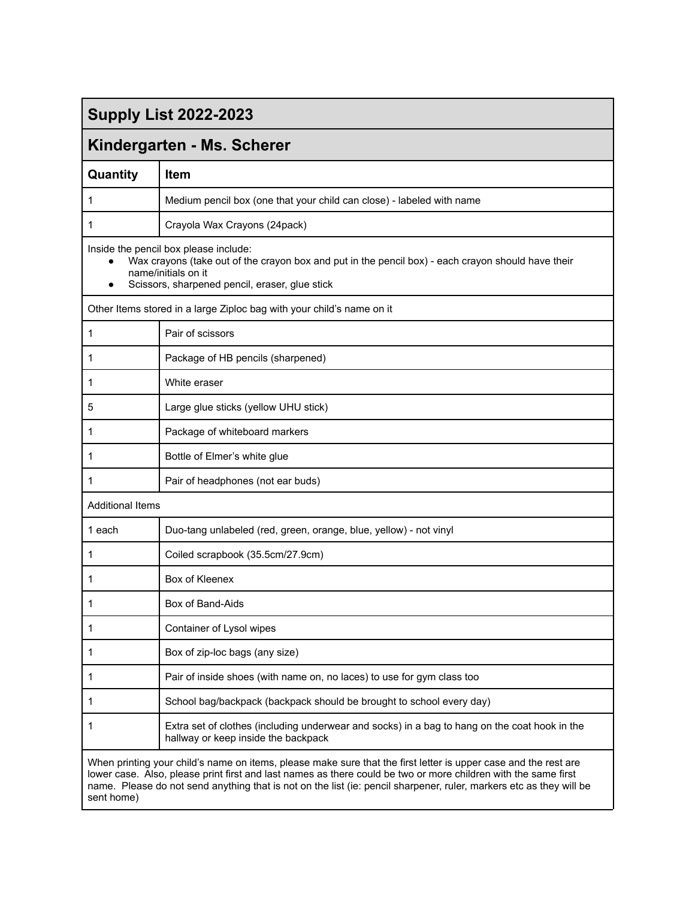## **Supply List 2022-2023**

## **Kindergarten - Ms. Scherer**

| Quantity                                                                                                                                                                                                                                                                                                                                                               | <b>Item</b>                                                                                                                                                                                                          |  |  |  |
|------------------------------------------------------------------------------------------------------------------------------------------------------------------------------------------------------------------------------------------------------------------------------------------------------------------------------------------------------------------------|----------------------------------------------------------------------------------------------------------------------------------------------------------------------------------------------------------------------|--|--|--|
| 1                                                                                                                                                                                                                                                                                                                                                                      | Medium pencil box (one that your child can close) - labeled with name                                                                                                                                                |  |  |  |
| 1                                                                                                                                                                                                                                                                                                                                                                      | Crayola Wax Crayons (24pack)                                                                                                                                                                                         |  |  |  |
|                                                                                                                                                                                                                                                                                                                                                                        | Inside the pencil box please include:<br>Wax crayons (take out of the crayon box and put in the pencil box) - each crayon should have their<br>name/initials on it<br>Scissors, sharpened pencil, eraser, glue stick |  |  |  |
|                                                                                                                                                                                                                                                                                                                                                                        | Other Items stored in a large Ziploc bag with your child's name on it                                                                                                                                                |  |  |  |
| 1                                                                                                                                                                                                                                                                                                                                                                      | Pair of scissors                                                                                                                                                                                                     |  |  |  |
| 1                                                                                                                                                                                                                                                                                                                                                                      | Package of HB pencils (sharpened)                                                                                                                                                                                    |  |  |  |
| 1                                                                                                                                                                                                                                                                                                                                                                      | White eraser                                                                                                                                                                                                         |  |  |  |
| 5                                                                                                                                                                                                                                                                                                                                                                      | Large glue sticks (yellow UHU stick)                                                                                                                                                                                 |  |  |  |
| 1                                                                                                                                                                                                                                                                                                                                                                      | Package of whiteboard markers                                                                                                                                                                                        |  |  |  |
| 1                                                                                                                                                                                                                                                                                                                                                                      | Bottle of Elmer's white glue                                                                                                                                                                                         |  |  |  |
| 1                                                                                                                                                                                                                                                                                                                                                                      | Pair of headphones (not ear buds)                                                                                                                                                                                    |  |  |  |
| <b>Additional Items</b>                                                                                                                                                                                                                                                                                                                                                |                                                                                                                                                                                                                      |  |  |  |
| 1 each                                                                                                                                                                                                                                                                                                                                                                 | Duo-tang unlabeled (red, green, orange, blue, yellow) - not vinyl                                                                                                                                                    |  |  |  |
| 1                                                                                                                                                                                                                                                                                                                                                                      | Coiled scrapbook (35.5cm/27.9cm)                                                                                                                                                                                     |  |  |  |
| 1                                                                                                                                                                                                                                                                                                                                                                      | Box of Kleenex                                                                                                                                                                                                       |  |  |  |
| 1                                                                                                                                                                                                                                                                                                                                                                      | Box of Band-Aids                                                                                                                                                                                                     |  |  |  |
| 1                                                                                                                                                                                                                                                                                                                                                                      | Container of Lysol wipes                                                                                                                                                                                             |  |  |  |
|                                                                                                                                                                                                                                                                                                                                                                        | Box of zip-loc bags (any size)                                                                                                                                                                                       |  |  |  |
| 1                                                                                                                                                                                                                                                                                                                                                                      | Pair of inside shoes (with name on, no laces) to use for gym class too                                                                                                                                               |  |  |  |
| 1                                                                                                                                                                                                                                                                                                                                                                      | School bag/backpack (backpack should be brought to school every day)                                                                                                                                                 |  |  |  |
| 1                                                                                                                                                                                                                                                                                                                                                                      | Extra set of clothes (including underwear and socks) in a bag to hang on the coat hook in the<br>hallway or keep inside the backpack                                                                                 |  |  |  |
| When printing your child's name on items, please make sure that the first letter is upper case and the rest are<br>lower case. Also, please print first and last names as there could be two or more children with the same first<br>name. Please do not send anything that is not on the list (ie: pencil sharpener, ruler, markers etc as they will be<br>sent home) |                                                                                                                                                                                                                      |  |  |  |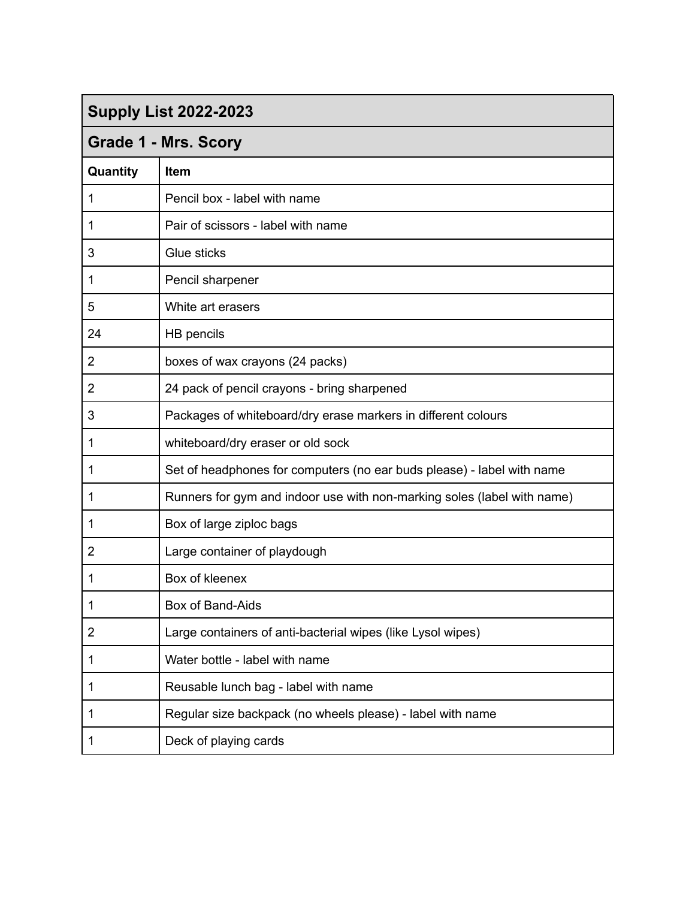# **Supply List 2022-2023**

| <b>Grade 1 - Mrs. Scory</b> |                                                                         |  |  |
|-----------------------------|-------------------------------------------------------------------------|--|--|
| Quantity                    | <b>Item</b>                                                             |  |  |
| $\mathbf{1}$                | Pencil box - label with name                                            |  |  |
| $\mathbf{1}$                | Pair of scissors - label with name                                      |  |  |
| 3                           | Glue sticks                                                             |  |  |
| $\mathbf 1$                 | Pencil sharpener                                                        |  |  |
| 5                           | White art erasers                                                       |  |  |
| 24                          | HB pencils                                                              |  |  |
| $\overline{2}$              | boxes of wax crayons (24 packs)                                         |  |  |
| $\overline{2}$              | 24 pack of pencil crayons - bring sharpened                             |  |  |
| $\sqrt{3}$                  | Packages of whiteboard/dry erase markers in different colours           |  |  |
| $\mathbf{1}$                | whiteboard/dry eraser or old sock                                       |  |  |
| $\mathbf{1}$                | Set of headphones for computers (no ear buds please) - label with name  |  |  |
| $\mathbf{1}$                | Runners for gym and indoor use with non-marking soles (label with name) |  |  |
| $\mathbf{1}$                | Box of large ziploc bags                                                |  |  |
| $\overline{2}$              | Large container of playdough                                            |  |  |
| $\mathbf 1$                 | Box of kleenex                                                          |  |  |
| $\mathbf 1$                 | Box of Band-Aids                                                        |  |  |
| $\overline{2}$              | Large containers of anti-bacterial wipes (like Lysol wipes)             |  |  |
| 1                           | Water bottle - label with name                                          |  |  |
| 1                           | Reusable lunch bag - label with name                                    |  |  |
| $\mathbf 1$                 | Regular size backpack (no wheels please) - label with name              |  |  |
| 1                           | Deck of playing cards                                                   |  |  |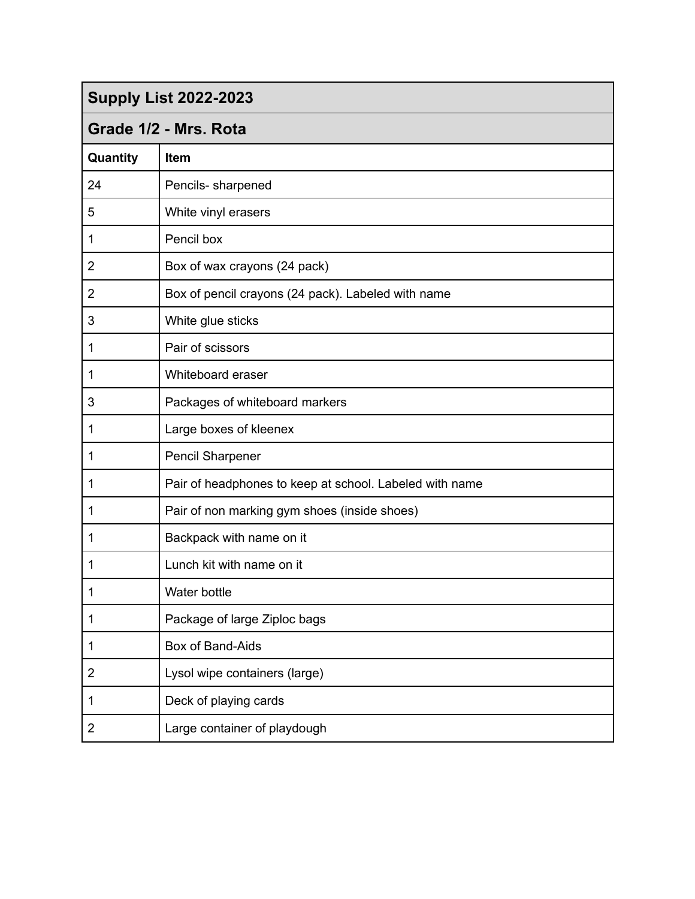| <b>Supply List 2022-2023</b> |  |  |  |
|------------------------------|--|--|--|
|------------------------------|--|--|--|

### **Grade 1/2 - Mrs. Rota**

| Quantity       | Item                                                    |
|----------------|---------------------------------------------------------|
| 24             | Pencils- sharpened                                      |
| 5              | White vinyl erasers                                     |
| 1              | Pencil box                                              |
| 2              | Box of wax crayons (24 pack)                            |
| $\overline{2}$ | Box of pencil crayons (24 pack). Labeled with name      |
| 3              | White glue sticks                                       |
| 1              | Pair of scissors                                        |
| 1              | Whiteboard eraser                                       |
| 3              | Packages of whiteboard markers                          |
| 1              | Large boxes of kleenex                                  |
| 1              | <b>Pencil Sharpener</b>                                 |
| 1              | Pair of headphones to keep at school. Labeled with name |
| 1              | Pair of non marking gym shoes (inside shoes)            |
| 1              | Backpack with name on it                                |
| 1              | Lunch kit with name on it                               |
| 1              | Water bottle                                            |
| 1              | Package of large Ziploc bags                            |
| 1              | Box of Band-Aids                                        |
| $\overline{2}$ | Lysol wipe containers (large)                           |
| 1              | Deck of playing cards                                   |
| $\overline{c}$ | Large container of playdough                            |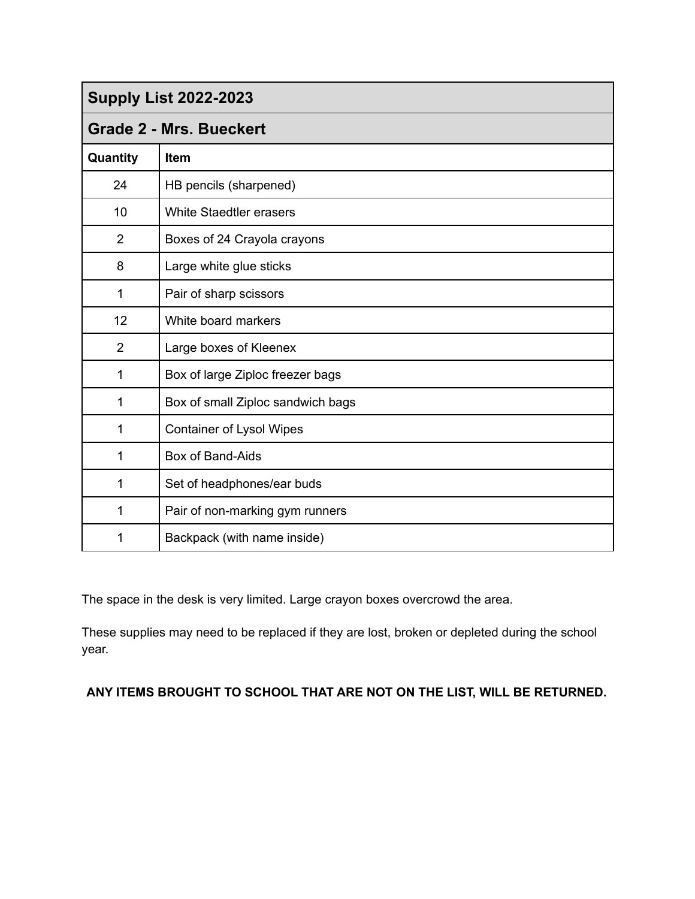| <b>Supply List 2022-2023</b>   |                                   |  |  |
|--------------------------------|-----------------------------------|--|--|
| <b>Grade 2 - Mrs. Bueckert</b> |                                   |  |  |
| Quantity                       | <b>Item</b>                       |  |  |
| 24                             | HB pencils (sharpened)            |  |  |
| 10                             | <b>White Staedtler erasers</b>    |  |  |
| $\overline{2}$                 | Boxes of 24 Crayola crayons       |  |  |
| 8                              | Large white glue sticks           |  |  |
| 1                              | Pair of sharp scissors            |  |  |
| 12                             | White board markers               |  |  |
| $\overline{2}$                 | Large boxes of Kleenex            |  |  |
| 1                              | Box of large Ziploc freezer bags  |  |  |
| 1                              | Box of small Ziploc sandwich bags |  |  |
| 1                              | <b>Container of Lysol Wipes</b>   |  |  |
| 1                              | Box of Band-Aids                  |  |  |
| 1                              | Set of headphones/ear buds        |  |  |
| 1                              | Pair of non-marking gym runners   |  |  |
| 1                              | Backpack (with name inside)       |  |  |

The space in the desk is very limited. Large crayon boxes overcrowd the area.

These supplies may need to be replaced if they are lost, broken or depleted during the school year.

#### **ANY ITEMS BROUGHT TO SCHOOL THAT ARE NOT ON THE LIST, WILL BE RETURNED.**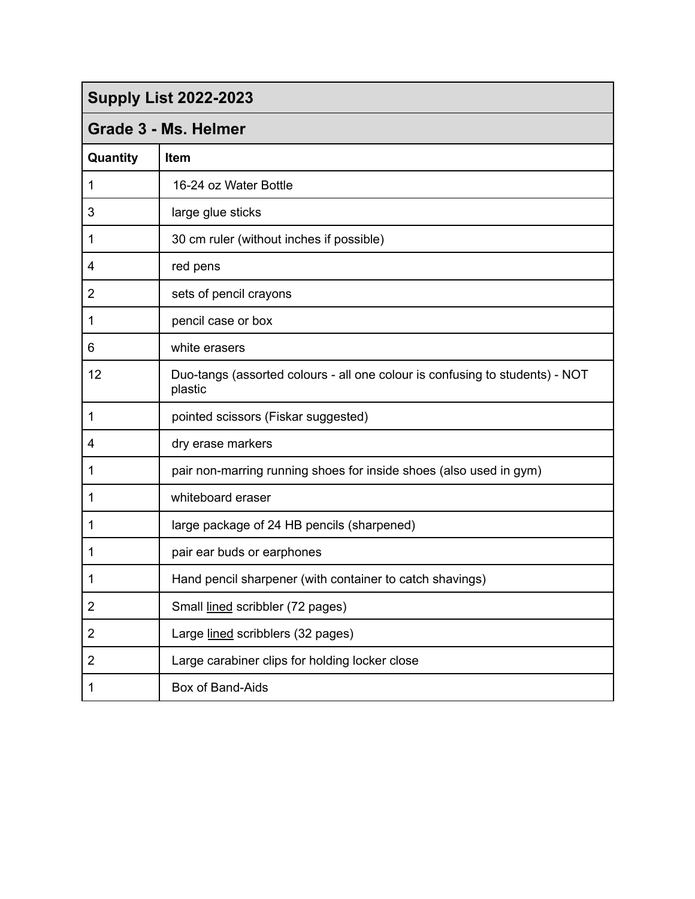|  | <b>Supply List 2022-2023</b> |  |
|--|------------------------------|--|
|--|------------------------------|--|

#### **Grade 3 - Ms. Helmer**

| Quantity       | Item                                                                                    |
|----------------|-----------------------------------------------------------------------------------------|
| 1              | 16-24 oz Water Bottle                                                                   |
| 3              | large glue sticks                                                                       |
| 1              | 30 cm ruler (without inches if possible)                                                |
| 4              | red pens                                                                                |
| $\overline{2}$ | sets of pencil crayons                                                                  |
| 1              | pencil case or box                                                                      |
| 6              | white erasers                                                                           |
| 12             | Duo-tangs (assorted colours - all one colour is confusing to students) - NOT<br>plastic |
| 1              | pointed scissors (Fiskar suggested)                                                     |
| 4              | dry erase markers                                                                       |
| 1              | pair non-marring running shoes for inside shoes (also used in gym)                      |
| 1              | whiteboard eraser                                                                       |
| 1              | large package of 24 HB pencils (sharpened)                                              |
| 1              | pair ear buds or earphones                                                              |
| 1              | Hand pencil sharpener (with container to catch shavings)                                |
| 2              | Small lined scribbler (72 pages)                                                        |
| $\overline{2}$ | Large lined scribblers (32 pages)                                                       |
| 2              | Large carabiner clips for holding locker close                                          |
| 1              | Box of Band-Aids                                                                        |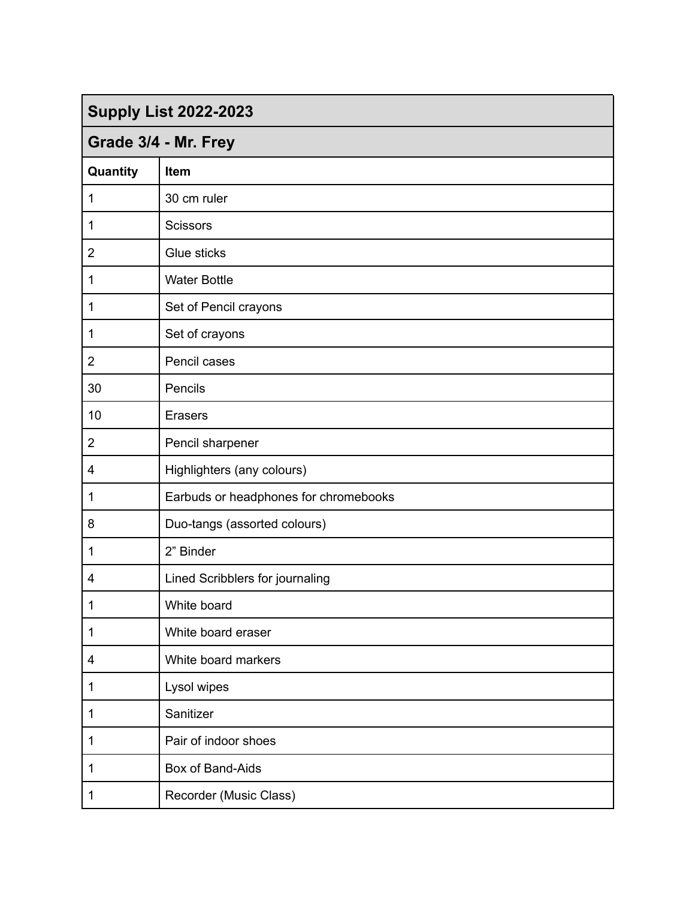| <b>Supply List 2022-2023</b> |                                       |  |  |
|------------------------------|---------------------------------------|--|--|
| Grade 3/4 - Mr. Frey         |                                       |  |  |
| Quantity                     | Item                                  |  |  |
| 1                            | 30 cm ruler                           |  |  |
| 1                            | <b>Scissors</b>                       |  |  |
| $\overline{2}$               | Glue sticks                           |  |  |
| 1                            | <b>Water Bottle</b>                   |  |  |
| 1                            | Set of Pencil crayons                 |  |  |
| 1                            | Set of crayons                        |  |  |
| $\overline{2}$               | Pencil cases                          |  |  |
| 30                           | Pencils                               |  |  |
| 10                           | <b>Erasers</b>                        |  |  |
| $\overline{2}$               | Pencil sharpener                      |  |  |
| 4                            | Highlighters (any colours)            |  |  |
| 1                            | Earbuds or headphones for chromebooks |  |  |
| 8                            | Duo-tangs (assorted colours)          |  |  |
| 1                            | 2" Binder                             |  |  |
| 4                            | Lined Scribblers for journaling       |  |  |
| 1                            | White board                           |  |  |
| $\mathbf{1}$                 | White board eraser                    |  |  |
| 4                            | White board markers                   |  |  |
| 1                            | Lysol wipes                           |  |  |
| 1                            | Sanitizer                             |  |  |
| 1                            | Pair of indoor shoes                  |  |  |
| 1                            | Box of Band-Aids                      |  |  |
| 1                            | Recorder (Music Class)                |  |  |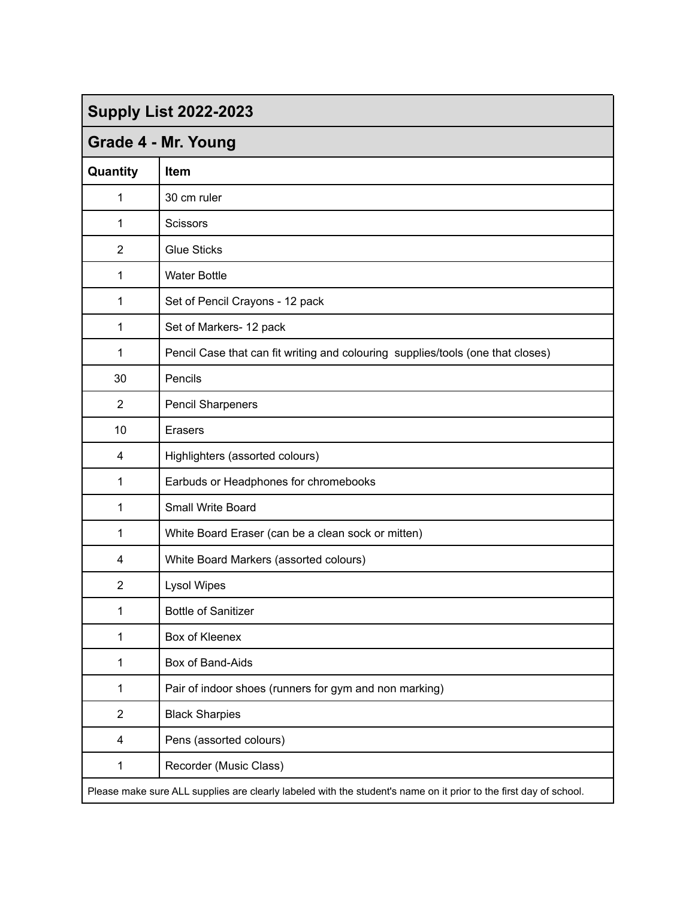| <b>Supply List 2022-2023</b>                                                                                      |                                                                                 |  |  |
|-------------------------------------------------------------------------------------------------------------------|---------------------------------------------------------------------------------|--|--|
| Grade 4 - Mr. Young                                                                                               |                                                                                 |  |  |
| Quantity                                                                                                          | Item                                                                            |  |  |
| 1                                                                                                                 | 30 cm ruler                                                                     |  |  |
| 1                                                                                                                 | Scissors                                                                        |  |  |
| $\overline{2}$                                                                                                    | <b>Glue Sticks</b>                                                              |  |  |
| 1                                                                                                                 | <b>Water Bottle</b>                                                             |  |  |
| 1                                                                                                                 | Set of Pencil Crayons - 12 pack                                                 |  |  |
| 1                                                                                                                 | Set of Markers- 12 pack                                                         |  |  |
| 1                                                                                                                 | Pencil Case that can fit writing and colouring supplies/tools (one that closes) |  |  |
| 30                                                                                                                | Pencils                                                                         |  |  |
| $\overline{2}$                                                                                                    | <b>Pencil Sharpeners</b>                                                        |  |  |
| 10                                                                                                                | <b>Erasers</b>                                                                  |  |  |
| 4                                                                                                                 | Highlighters (assorted colours)                                                 |  |  |
| 1                                                                                                                 | Earbuds or Headphones for chromebooks                                           |  |  |
| 1                                                                                                                 | Small Write Board                                                               |  |  |
| 1                                                                                                                 | White Board Eraser (can be a clean sock or mitten)                              |  |  |
| 4                                                                                                                 | White Board Markers (assorted colours)                                          |  |  |
| $\overline{2}$                                                                                                    | <b>Lysol Wipes</b>                                                              |  |  |
| 1                                                                                                                 | <b>Bottle of Sanitizer</b>                                                      |  |  |
| 1                                                                                                                 | Box of Kleenex                                                                  |  |  |
| 1                                                                                                                 | Box of Band-Aids                                                                |  |  |
| 1                                                                                                                 | Pair of indoor shoes (runners for gym and non marking)                          |  |  |
| $\overline{2}$                                                                                                    | <b>Black Sharpies</b>                                                           |  |  |
| 4                                                                                                                 | Pens (assorted colours)                                                         |  |  |
| 1                                                                                                                 | Recorder (Music Class)                                                          |  |  |
| Please make sure ALL supplies are clearly labeled with the student's name on it prior to the first day of school. |                                                                                 |  |  |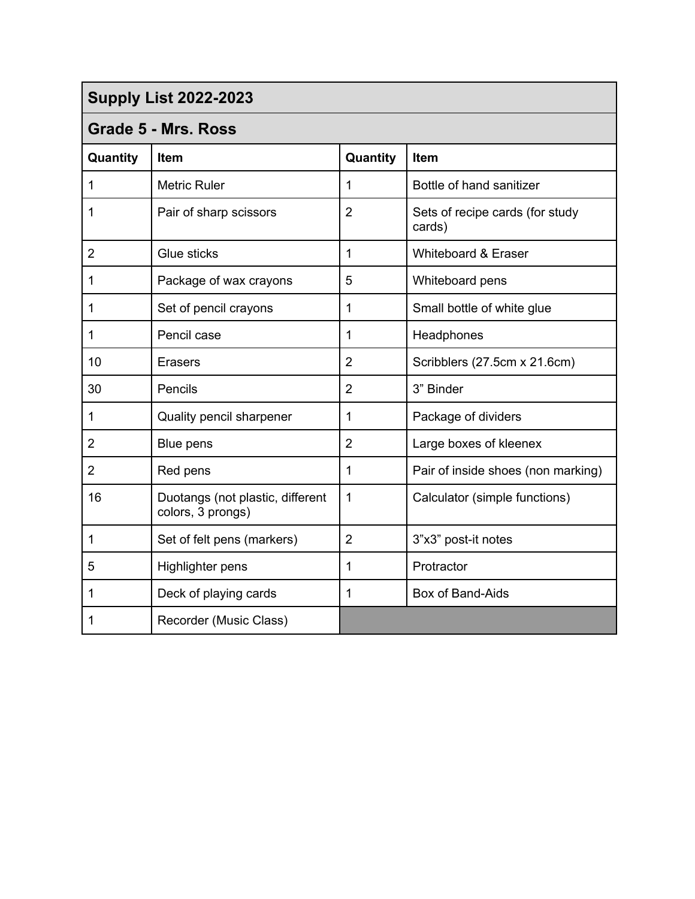#### **Grade 5 - Mrs. Ross**

| Quantity       | <b>Item</b>                                           | Quantity       | Item                                      |  |
|----------------|-------------------------------------------------------|----------------|-------------------------------------------|--|
| 1              | <b>Metric Ruler</b>                                   | 1              | Bottle of hand sanitizer                  |  |
| 1              | Pair of sharp scissors                                | $\overline{2}$ | Sets of recipe cards (for study<br>cards) |  |
| $\overline{2}$ | Glue sticks                                           | 1              | Whiteboard & Eraser                       |  |
| 1              | Package of wax crayons                                | 5              | Whiteboard pens                           |  |
| 1              | Set of pencil crayons                                 | 1              | Small bottle of white glue                |  |
| 1              | Pencil case                                           | 1              | Headphones                                |  |
| 10             | <b>Erasers</b>                                        | $\overline{2}$ | Scribblers (27.5cm x 21.6cm)              |  |
| 30             | Pencils                                               | $\overline{2}$ | 3" Binder                                 |  |
| 1              | Quality pencil sharpener                              | 1              | Package of dividers                       |  |
| 2              | Blue pens                                             | $\overline{2}$ | Large boxes of kleenex                    |  |
| $\overline{2}$ | Red pens                                              | 1              | Pair of inside shoes (non marking)        |  |
| 16             | Duotangs (not plastic, different<br>colors, 3 prongs) | 1              | Calculator (simple functions)             |  |
| 1              | Set of felt pens (markers)                            | $\overline{2}$ | 3"x3" post-it notes                       |  |
| 5              | Highlighter pens                                      | 1              | Protractor                                |  |
| 1              | Deck of playing cards                                 | 1              | Box of Band-Aids                          |  |
| 1              | Recorder (Music Class)                                |                |                                           |  |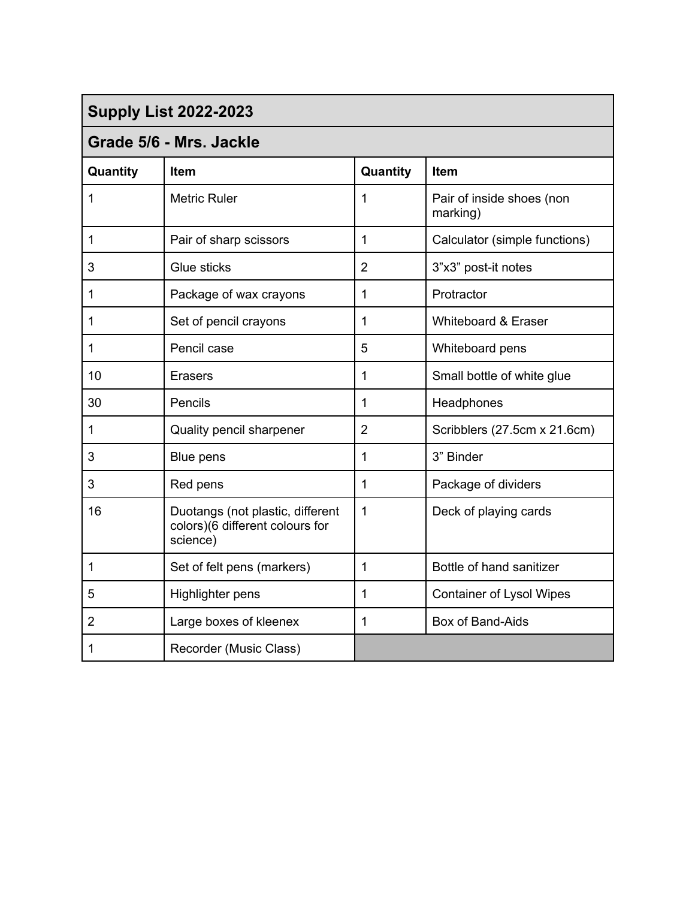| <b>Supply List 2022-2023</b> |                                                                                 |                |                                       |
|------------------------------|---------------------------------------------------------------------------------|----------------|---------------------------------------|
| Grade 5/6 - Mrs. Jackle      |                                                                                 |                |                                       |
| Quantity                     | <b>Item</b>                                                                     | Quantity       | <b>Item</b>                           |
| 1                            | <b>Metric Ruler</b>                                                             | 1              | Pair of inside shoes (non<br>marking) |
| 1                            | Pair of sharp scissors                                                          | 1              | Calculator (simple functions)         |
| 3                            | Glue sticks                                                                     | $\overline{2}$ | 3"x3" post-it notes                   |
| 1                            | Package of wax crayons                                                          | 1              | Protractor                            |
| 1                            | Set of pencil crayons                                                           | 1              | Whiteboard & Eraser                   |
| 1                            | Pencil case                                                                     | 5              | Whiteboard pens                       |
| 10                           | <b>Erasers</b>                                                                  | 1              | Small bottle of white glue            |
| 30                           | Pencils                                                                         | 1              | Headphones                            |
| $\mathbf{1}$                 | Quality pencil sharpener                                                        | $\overline{2}$ | Scribblers (27.5cm x 21.6cm)          |
| 3                            | Blue pens                                                                       | 1              | 3" Binder                             |
| 3                            | Red pens                                                                        | 1              | Package of dividers                   |
| 16                           | Duotangs (not plastic, different<br>colors)(6 different colours for<br>science) | 1              | Deck of playing cards                 |
| 1                            | Set of felt pens (markers)                                                      | 1              | Bottle of hand sanitizer              |
| 5                            | Highlighter pens                                                                | 1              | <b>Container of Lysol Wipes</b>       |
| $\overline{2}$               | Large boxes of kleenex                                                          | 1              | Box of Band-Aids                      |
| 1                            | Recorder (Music Class)                                                          |                |                                       |